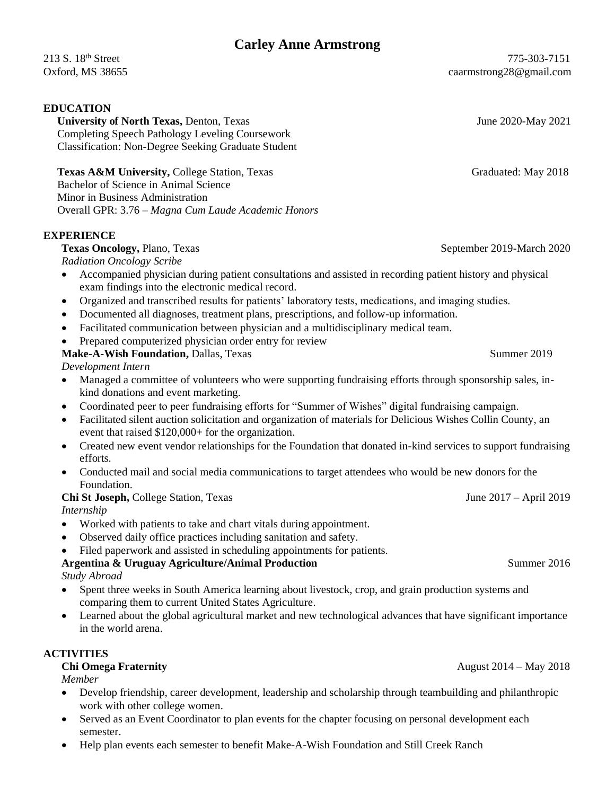# **Carley Anne Armstrong**

#### **EDUCATION**

**University of North Texas, Denton, Texas June 2020-May 2021**  Completing Speech Pathology Leveling Coursework Classification: Non-Degree Seeking Graduate Student

**Texas A&M University, College Station, Texas Graduated: May 2018** Graduated: May 2018 Bachelor of Science in Animal Science Minor in Business Administration Overall GPR: 3.76 – *Magna Cum Laude Academic Honors*

#### **EXPERIENCE**

## **Texas Oncology, Plano, Texas** September 2019-March 2020

*Radiation Oncology Scribe*

- Accompanied physician during patient consultations and assisted in recording patient history and physical exam findings into the electronic medical record.
- Organized and transcribed results for patients' laboratory tests, medications, and imaging studies.
- Documented all diagnoses, treatment plans, prescriptions, and follow-up information.
- Facilitated communication between physician and a multidisciplinary medical team.
- Prepared computerized physician order entry for review

#### **Make-A-Wish Foundation, Dallas, Texas Summer 2019** Summer 2019

*Development Intern*

- Managed a committee of volunteers who were supporting fundraising efforts through sponsorship sales, inkind donations and event marketing.
- Coordinated peer to peer fundraising efforts for "Summer of Wishes" digital fundraising campaign.
- Facilitated silent auction solicitation and organization of materials for Delicious Wishes Collin County, an event that raised \$120,000+ for the organization.
- Created new event vendor relationships for the Foundation that donated in-kind services to support fundraising efforts.
- Conducted mail and social media communications to target attendees who would be new donors for the Foundation.

#### **Chi St Joseph, College Station, Texas June 2017 – April 2019**

*Internship*

- Worked with patients to take and chart vitals during appointment.
- Observed daily office practices including sanitation and safety.
- Filed paperwork and assisted in scheduling appointments for patients.

#### **Argentina & Uruguay Agriculture/Animal Production** Summer 2016 *Study Abroad*

- Spent three weeks in South America learning about livestock, crop, and grain production systems and comparing them to current United States Agriculture.
- Learned about the global agricultural market and new technological advances that have significant importance in the world arena.

## **ACTIVITIES**

*Member*

- Develop friendship, career development, leadership and scholarship through teambuilding and philanthropic work with other college women.
- Served as an Event Coordinator to plan events for the chapter focusing on personal development each semester.
- Help plan events each semester to benefit Make-A-Wish Foundation and Still Creek Ranch

**Chi Omega Fraternity** August 2014 – May 2018